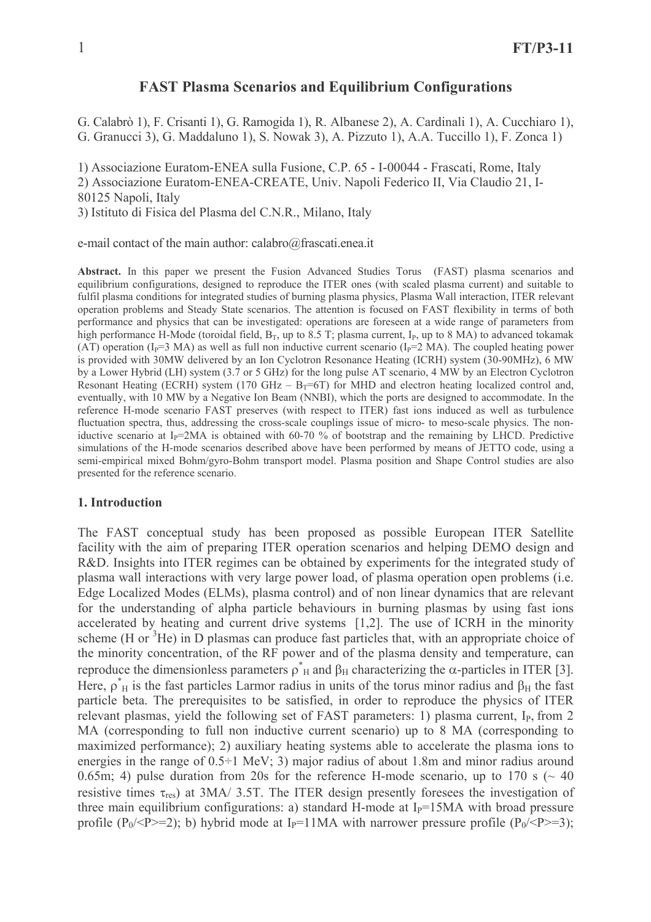# **FAST Plasma Scenarios and Equilibrium Configurations**

G. Calabrò 1), F. Crisanti 1), G. Ramogida 1), R. Albanese 2), A. Cardinali 1), A. Cucchiaro 1), G. Granucci 3), G. Maddaluno 1), S. Nowak 3), A. Pizzuto 1), A.A. Tuccillo 1), F. Zonca 1)

1) Associazione Euratom-ENEA sulla Fusione, C.P. 65 - I-00044 - Frascati, Rome, Italy

2) Associazione Euratom-ENEA-CREATE, Univ. Napoli Federico II, Via Claudio 21, I-80125 Napoli, Italy

3) Istituto di Fisica del Plasma del C.N.R., Milano, Italy

e-mail contact of the main author: calabro@frascati.enea.it

Abstract. In this paper we present the Fusion Advanced Studies Torus (FAST) plasma scenarios and equilibrium configurations, designed to reproduce the ITER ones (with scaled plasma current) and suitable to fulfil plasma conditions for integrated studies of burning plasma physics, Plasma Wall interaction, ITER relevant operation problems and Steady State scenarios. The attention is focused on FAST flexibility in terms of both performance and physics that can be investigated: operations are foreseen at a wide range of parameters from high performance H-Mode (toroidal field,  $B_T$ , up to 8.5 T; plasma current,  $I_P$ , up to 8 MA) to advanced tokamak (AT) operation (I<sub>p</sub>=3 MA) as well as full non inductive current scenario (I<sub>p</sub>=2 MA). The coupled heating power is provided with 30MW delivered by an Ion Cyclotron Resonance Heating (ICRH) system (30-90MHz), 6 MW by a Lower Hybrid (LH) system (3.7 or 5 GHz) for the long pulse AT scenario, 4 MW by an Electron Cyclotron Resonant Heating (ECRH) system (170 GHz –  $B_T=6T$ ) for MHD and electron heating localized control and, eventually, with 10 MW by a Negative Ion Beam (NNBI), which the ports are designed to accommodate. In the reference H-mode scenario FAST preserves (with respect to ITER) fast ions induced as well as turbulence fluctuation spectra, thus, addressing the cross-scale couplings issue of micro- to meso-scale physics. The noniductive scenario at  $I_p=2MA$  is obtained with 60-70 % of bootstrap and the remaining by LHCD. Predictive simulations of the H-mode scenarios described above have been performed by means of JETTO code, using a semi-empirical mixed Bohm/gyro-Bohm transport model. Plasma position and Shape Control studies are also presented for the reference scenario.

### 1. Introduction

The FAST conceptual study has been proposed as possible European ITER Satellite facility with the aim of preparing ITER operation scenarios and helping DEMO design and R&D. Insights into ITER regimes can be obtained by experiments for the integrated study of plasma wall interactions with very large power load, of plasma operation open problems (i.e. Edge Localized Modes (ELMs), plasma control) and of non linear dynamics that are relevant for the understanding of alpha particle behaviours in burning plasmas by using fast ions accelerated by heating and current drive systems [1,2]. The use of ICRH in the minority scheme (H or  ${}^{3}$ He) in D plasmas can produce fast particles that, with an appropriate choice of the minority concentration, of the RF power and of the plasma density and temperature, can reproduce the dimensionless parameters  $\rho^*$ <sub>H</sub> and  $\beta$ <sub>H</sub> characterizing the  $\alpha$ -particles in ITER [3]. Here,  $\rho_H^*$  is the fast particles Larmor radius in units of the torus minor radius and  $\beta_H$  the fast particle beta. The prerequisites to be satisfied, in order to reproduce the physics of ITER relevant plasmas, vield the following set of FAST parameters: 1) plasma current, I<sub>p</sub>, from 2 MA (corresponding to full non inductive current scenario) up to 8 MA (corresponding to maximized performance); 2) auxiliary heating systems able to accelerate the plasma ions to energies in the range of  $0.5\div 1$  MeV; 3) major radius of about 1.8m and minor radius around 0.65m; 4) pulse duration from 20s for the reference H-mode scenario, up to 170 s ( $\sim$  40 resistive times  $\tau_{res}$ ) at 3MA/ 3.5T. The ITER design presently foresees the investigation of three main equilibrium configurations: a) standard H-mode at  $I<sub>P</sub>=15MA$  with broad pressure profile (P<sub>0</sub>/<P>=2); b) hybrid mode at I<sub>P</sub>=11MA with narrower pressure profile (P<sub>0</sub>/<P>=3);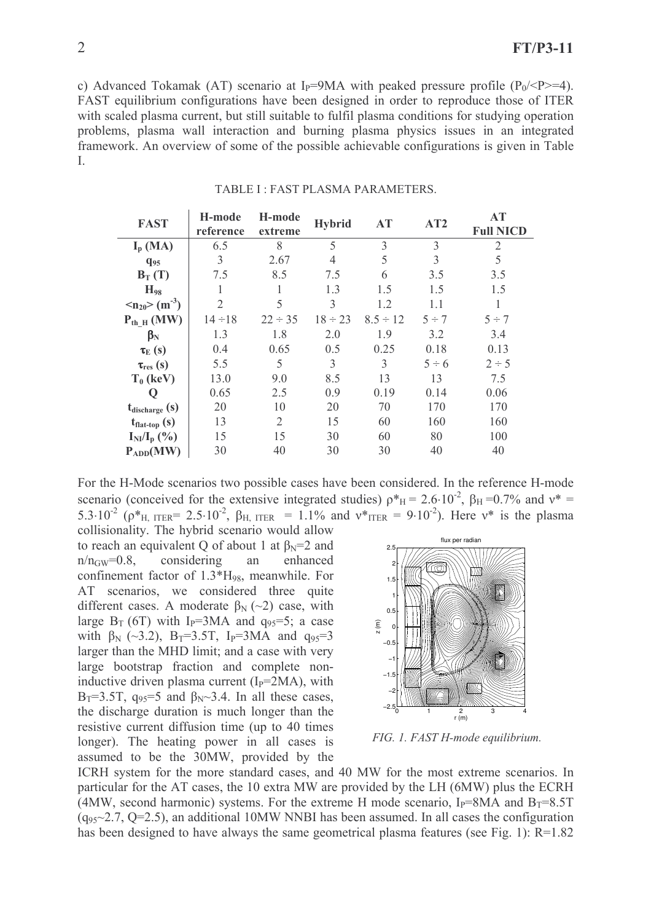c) Advanced Tokamak (AT) scenario at I<sub>p</sub>=9MA with peaked pressure profile (P<sub>0</sub>/<P>=4). FAST equilibrium configurations have been designed in order to reproduce those of ITER with scaled plasma current, but still suitable to fulfil plasma conditions for studying operation problems, plasma wall interaction and burning plasma physics issues in an integrated framework. An overview of some of the possible achievable configurations is given in Table  $\mathbf{I}$ 

| <b>FAST</b>                                 | H-mode<br>reference | H-mode<br>extreme | <b>Hybrid</b>  | AT            | AT2        | АT<br><b>Full NICD</b> |
|---------------------------------------------|---------------------|-------------------|----------------|---------------|------------|------------------------|
| $I_{p}$ (MA)                                | 6.5                 | 8                 | 5              | 3             | 3          | 2                      |
| $q_{95}$                                    | 3                   | 2.67              | $\overline{4}$ | 5             | 3          | 5                      |
| $B_T(T)$                                    | 7.5                 | 8.5               | 7.5            | 6             | 3.5        | 3.5                    |
| $H_{98}$                                    | 1                   |                   | 1.3            | 1.5           | 1.5        | 1.5                    |
| $\langle n_{20} \rangle$ (m <sup>-3</sup> ) | $\overline{2}$      | 5                 | 3              | 1.2           | 1.1        |                        |
| $P_{th H}$ (MW)                             | $14 \div 18$        | $22 \div 35$      | $18 \div 23$   | $8.5 \div 12$ | $5 \div 7$ | $5 \div 7$             |
| $\beta_{\rm N}$                             | 1.3                 | 1.8               | 2.0            | 1.9           | 3.2        | 3.4                    |
| $\tau_{\rm E}$ (s)                          | 0.4                 | 0.65              | 0.5            | 0.25          | 0.18       | 0.13                   |
| $\tau_{res}(s)$                             | 5.5                 | 5                 | 3              | 3             | $5 \div 6$ | $2 \div 5$             |
| $T_0$ (keV)                                 | 13.0                | 9.0               | 8.5            | 13            | 13         | 7.5                    |
| Q                                           | 0.65                | 2.5               | 0.9            | 0.19          | 0.14       | 0.06                   |
| $t_{discharge}$ (s)                         | 20                  | 10                | 20             | 70            | 170        | 170                    |
| $t_{\text{flat-top}}$ (s)                   | 13                  | 2                 | 15             | 60            | 160        | 160                    |
| $I_{NI}/I_{p}$ (%)                          | 15                  | 15                | 30             | 60            | 80         | 100                    |
| $P_{ADD}(MW)$                               | 30                  | 40                | 30             | 30            | 40         | 40                     |

#### TABLE I · FAST PLASMA PARAMETERS

For the H-Mode scenarios two possible cases have been considered. In the reference H-mode scenario (conceived for the extensive integrated studies)  $\rho_{H}^{*} = 2.6 \cdot 10^{-2}$ ,  $\beta_{H} = 0.7\%$  and  $v^{*} =$ 5.3.10<sup>-2</sup> ( $\rho^*$ <sub>H, ITER</sub> = 2.5.10<sup>-2</sup>,  $\beta$ <sub>H, ITER</sub> = 1.1% and  $v^*$ <sub>ITER</sub> = 9.10<sup>-2</sup>). Here  $v^*$  is the plasma collisionality. The hybrid scenario would allow

to reach an equivalent Q of about 1 at  $\beta_N = 2$  and considering an  $n/n_{\rm GW}=0.8$ , enhanced confinement factor of  $1.3*H_{98}$ , meanwhile. For AT scenarios, we considered three quite different cases. A moderate  $\beta_N$  (~2) case, with large  $B_T$  (6T) with I<sub>p</sub>=3MA and  $q_{95}$ =5; a case with  $\beta_N$  (~3.2), B<sub>T</sub>=3.5T, I<sub>P</sub>=3MA and  $q_{95}=3$ larger than the MHD limit; and a case with very large bootstrap fraction and complete noninductive driven plasma current  $(I_P=2MA)$ , with  $B_T=3.5T$ ,  $q_{95}=5$  and  $\beta_N \sim 3.4$ . In all these cases, the discharge duration is much longer than the resistive current diffusion time (up to 40 times) longer). The heating power in all cases is assumed to be the 30MW, provided by the



FIG. 1. FAST H-mode equilibrium.

ICRH system for the more standard cases, and 40 MW for the most extreme scenarios. In particular for the AT cases, the 10 extra MW are provided by the LH (6MW) plus the ECRH (4MW, second harmonic) systems. For the extreme H mode scenario,  $I_P = 8MA$  and  $B_T = 8.5T$  $(q_{95} \sim 2.7, Q=2.5)$ , an additional 10MW NNBI has been assumed. In all cases the configuration has been designed to have always the same geometrical plasma features (see Fig. 1):  $R=1.82$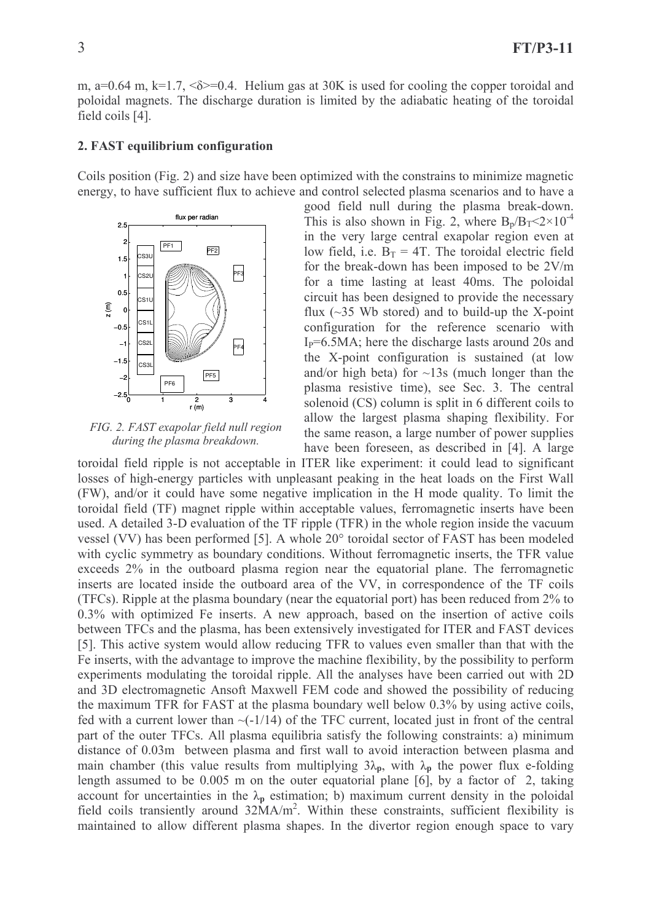m, a=0.64 m, k=1.7,  $\&$  =0.4. Helium gas at 30K is used for cooling the copper toroidal and poloidal magnets. The discharge duration is limited by the adiabatic heating of the toroidal field coils [4].

### 2. FAST equilibrium configuration

Coils position (Fig. 2) and size have been optimized with the constrains to minimize magnetic energy, to have sufficient flux to achieve and control selected plasma scenarios and to have a



FIG. 2. FAST exapolar field null region during the plasma breakdown.

good field null during the plasma break-down. This is also shown in Fig. 2, where  $B_p/B_T < 2 \times 10^{-4}$ in the very large central exapolar region even at low field, i.e.  $B_T = 4T$ . The toroidal electric field for the break-down has been imposed to be 2V/m for a time lasting at least 40ms. The poloidal circuit has been designed to provide the necessary flux  $(\sim]35$  Wb stored) and to build-up the X-point configuration for the reference scenario with  $I<sub>P</sub>=6.5MA$ ; here the discharge lasts around 20s and the X-point configuration is sustained (at low and/or high beta) for  $\sim$ 13s (much longer than the plasma resistive time), see Sec. 3. The central solenoid (CS) column is split in 6 different coils to allow the largest plasma shaping flexibility. For the same reason, a large number of power supplies have been foreseen, as described in [4]. A large

toroidal field ripple is not acceptable in ITER like experiment: it could lead to significant losses of high-energy particles with unpleasant peaking in the heat loads on the First Wall (FW), and/or it could have some negative implication in the H mode quality. To limit the toroidal field (TF) magnet ripple within acceptable values, ferromagnetic inserts have been used. A detailed 3-D evaluation of the TF ripple (TFR) in the whole region inside the vacuum vessel (VV) has been performed [5]. A whole 20° toroidal sector of FAST has been modeled with cyclic symmetry as boundary conditions. Without ferromagnetic inserts, the TFR value exceeds 2% in the outboard plasma region near the equatorial plane. The ferromagnetic inserts are located inside the outboard area of the VV, in correspondence of the TF coils (TFCs). Ripple at the plasma boundary (near the equatorial port) has been reduced from 2% to 0.3% with optimized Fe inserts. A new approach, based on the insertion of active coils between TFCs and the plasma, has been extensively investigated for ITER and FAST devices [5]. This active system would allow reducing TFR to values even smaller than that with the Fe inserts, with the advantage to improve the machine flexibility, by the possibility to perform experiments modulating the toroidal ripple. All the analyses have been carried out with 2D and 3D electromagnetic Ansoft Maxwell FEM code and showed the possibility of reducing the maximum TFR for FAST at the plasma boundary well below 0.3% by using active coils, fed with a current lower than  $\sim$ (-1/14) of the TFC current, located just in front of the central part of the outer TFCs. All plasma equilibria satisfy the following constraints: a) minimum distance of 0.03m between plasma and first wall to avoid interaction between plasma and main chamber (this value results from multiplying  $3\lambda_p$ , with  $\lambda_p$  the power flux e-folding length assumed to be  $0.005$  m on the outer equatorial plane [6], by a factor of 2, taking account for uncertainties in the  $\lambda_p$  estimation; b) maximum current density in the poloidal field coils transiently around 32MA/m<sup>2</sup>. Within these constraints, sufficient flexibility is maintained to allow different plasma shapes. In the divertor region enough space to vary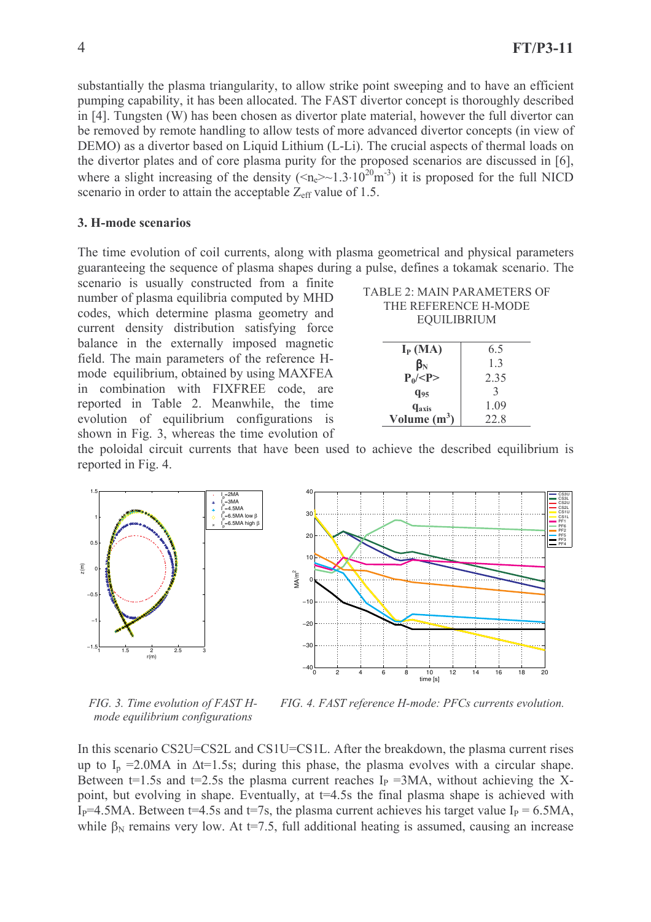substantially the plasma triangularity, to allow strike point sweeping and to have an efficient pumping capability, it has been allocated. The FAST divertor concept is thoroughly described in [4]. Tungsten (W) has been chosen as divertor plate material, however the full divertor can be removed by remote handling to allow tests of more advanced divertor concepts (in view of DEMO) as a divertor based on Liquid Lithium (L-Li). The crucial aspects of thermal loads on the divertor plates and of core plasma purity for the proposed scenarios are discussed in [6], where a slight increasing of the density  $(\leq n \geq 1.3.10^{20} \text{m}^{-3})$  it is proposed for the full NICD scenario in order to attain the acceptable  $Z_{\text{eff}}$  value of 1.5.

### 3. H-mode scenarios

The time evolution of coil currents, along with plasma geometrical and physical parameters guaranteeing the sequence of plasma shapes during a pulse, defines a tokamak scenario. The

scenario is usually constructed from a finite number of plasma equilibria computed by MHD codes, which determine plasma geometry and current density distribution satisfying force balance in the externally imposed magnetic field. The main parameters of the reference Hmode equilibrium, obtained by using MAXFEA in combination with FIXFREE code, are reported in Table 2. Meanwhile, the time evolution of equilibrium configurations is shown in Fig. 3, whereas the time evolution of

| <b>TABLE 2: MAIN PARAMETERS OF</b> |  |  |  |  |  |
|------------------------------------|--|--|--|--|--|
| THE REFERENCE H-MODE               |  |  |  |  |  |
| <b>EQUILIBRIUM</b>                 |  |  |  |  |  |
|                                    |  |  |  |  |  |

| $I_{P}$ (MA)             | 6.5          |
|--------------------------|--------------|
| $\beta_{\rm N}$          | 13           |
| $P_0$ /< $P>$            | 2.35         |
| $q_{95}$                 | $\mathbf{R}$ |
| <b>q</b> <sub>axis</sub> | 1.09         |
| Volume $(m^3)$           | 22.8         |
|                          |              |

the poloidal circuit currents that have been used to achieve the described equilibrium is reported in Fig. 4.



FIG. 3. Time evolution of FAST Hmode equilibrium configurations

FIG. 4. FAST reference H-mode: PFCs currents evolution.

In this scenario CS2U=CS2L and CS1U=CS1L. After the breakdown, the plasma current rises up to  $I_p = 2.0MA$  in  $\Delta t = 1.5s$ ; during this phase, the plasma evolves with a circular shape. Between t=1.5s and t=2.5s the plasma current reaches  $I<sub>P</sub>$  =3MA, without achieving the Xpoint, but evolving in shape. Eventually, at t=4.5s the final plasma shape is achieved with I<sub>p</sub>=4.5MA. Between t=4.5s and t=7s, the plasma current achieves his target value I<sub>p</sub> = 6.5MA, while  $\beta_N$  remains very low. At t=7.5, full additional heating is assumed, causing an increase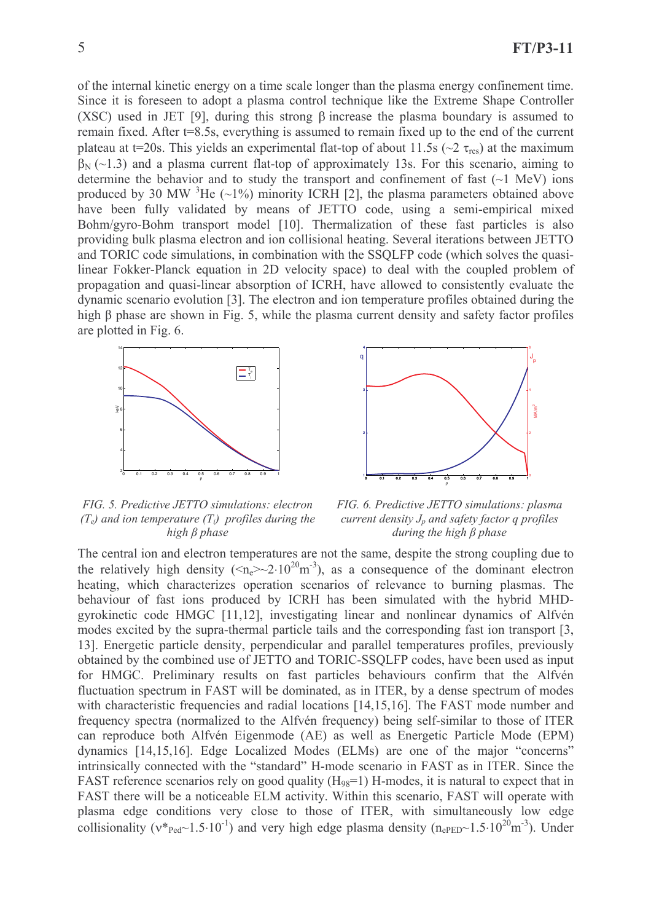of the internal kinetic energy on a time scale longer than the plasma energy confinement time. Since it is foreseen to adopt a plasma control technique like the Extreme Shape Controller (XSC) used in JET [9], during this strong B increase the plasma boundary is assumed to remain fixed. After t=8.5s, everything is assumed to remain fixed up to the end of the current plateau at t=20s. This yields an experimental flat-top of about 11.5s ( $\sim$ 2  $\tau_{res}$ ) at the maximum  $\beta_{N}$  (~1.3) and a plasma current flat-top of approximately 13s. For this scenario, aiming to determine the behavior and to study the transport and confinement of fast  $(\sim 1 \text{ MeV})$  ions produced by 30 MW  ${}^{3}$ He (~1%) minority ICRH [2], the plasma parameters obtained above have been fully validated by means of JETTO code, using a semi-empirical mixed Bohm/gvro-Bohm transport model [10]. Thermalization of these fast particles is also providing bulk plasma electron and ion collisional heating. Several iterations between JETTO and TORIC code simulations, in combination with the SSQLFP code (which solves the quasilinear Fokker-Planck equation in 2D velocity space) to deal with the coupled problem of propagation and quasi-linear absorption of ICRH, have allowed to consistently evaluate the dynamic scenario evolution [3]. The electron and ion temperature profiles obtained during the high  $\beta$  phase are shown in Fig. 5, while the plasma current density and safety factor profiles are plotted in Fig. 6.





FIG. 5. Predictive JETTO simulations: electron  $(T_e)$  and ion temperature  $(T_i)$  profiles during the high  $\beta$  phase

FIG. 6. Predictive JETTO simulations: plasma current density  $J_p$  and safety factor q profiles during the high  $\beta$  phase

The central ion and electron temperatures are not the same, despite the strong coupling due to the relatively high density  $(\langle n_e \rangle \sim 2.10^{20} \text{m}^{-3})$ , as a consequence of the dominant electron heating, which characterizes operation scenarios of relevance to burning plasmas. The behaviour of fast ions produced by ICRH has been simulated with the hybrid MHDgyrokinetic code HMGC [11,12], investigating linear and nonlinear dynamics of Alfvén modes excited by the supra-thermal particle tails and the corresponding fast ion transport [3, 13]. Energetic particle density, perpendicular and parallel temperatures profiles, previously obtained by the combined use of JETTO and TORIC-SSOLFP codes, have been used as input for HMGC. Preliminary results on fast particles behaviours confirm that the Alfvén fluctuation spectrum in FAST will be dominated, as in ITER, by a dense spectrum of modes with characteristic frequencies and radial locations [14,15,16]. The FAST mode number and frequency spectra (normalized to the Alfvén frequency) being self-similar to those of ITER can reproduce both Alfvén Eigenmode (AE) as well as Energetic Particle Mode (EPM) dynamics [14,15,16]. Edge Localized Modes (ELMs) are one of the major "concerns" intrinsically connected with the "standard" H-mode scenario in FAST as in ITER. Since the FAST reference scenarios rely on good quality  $(H_{98}=1)$  H-modes, it is natural to expect that in FAST there will be a noticeable ELM activity. Within this scenario, FAST will operate with plasma edge conditions very close to those of ITER, with simultaneously low edge collisionality ( $v*_{\text{Ped}}$ ~1.5·10<sup>-1</sup>) and very high edge plasma density ( $n_{\text{ePED}}$ ~1.5·10<sup>20</sup>m<sup>-3</sup>). Under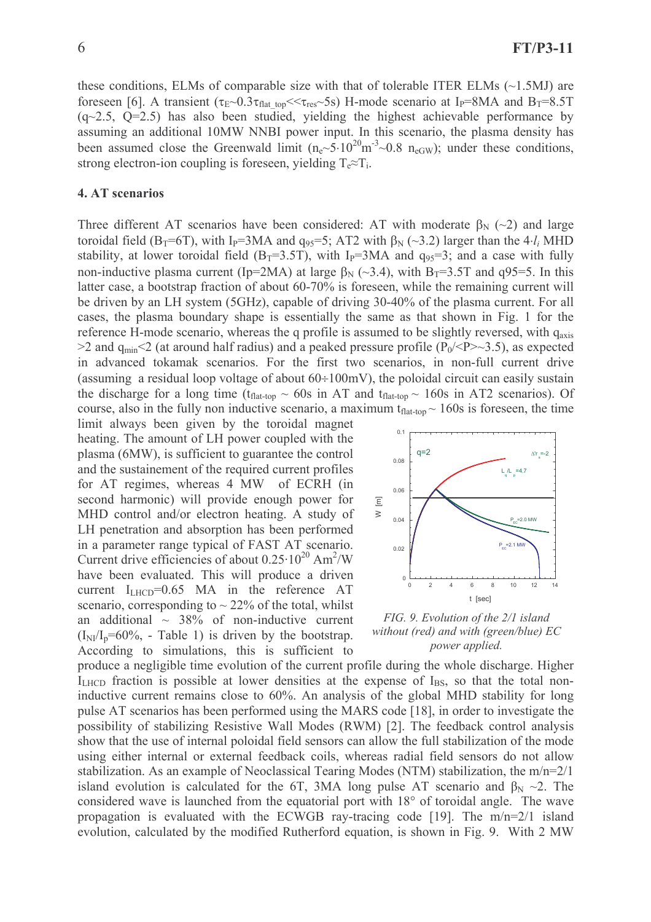these conditions, ELMs of comparable size with that of tolerable ITER ELMs  $(\sim 1.5MJ$  are foreseen [6]. A transient ( $\tau_E \sim 0.3 \tau_{flat\_top} << \tau_{res} \sim 5s$ ) H-mode scenario at I<sub>P</sub>=8MA and B<sub>T</sub>=8.5T  $(q\sim 2.5, Q=2.5)$  has also been studied, yielding the highest achievable performance by assuming an additional 10MW NNBI power input. In this scenario, the plasma density has been assumed close the Greenwald limit  $(n_e \sim 5.10^{20} \text{m}^{-3} \sim 0.8 \text{ n}_{eGW})$ ; under these conditions, strong electron-ion coupling is foreseen, vielding  $T_e \approx T_i$ .

### 4. AT scenarios

Three different AT scenarios have been considered: AT with moderate  $\beta_N$  (~2) and large toroidal field (B<sub>T</sub>=6T), with I<sub>P</sub>=3MA and  $q_{95}$ =5; AT2 with  $\beta_N$  (~3.2) larger than the 4 $\cdot l_i$  MHD stability, at lower toroidal field (B<sub>T</sub>=3.5T), with I<sub>P</sub>=3MA and  $q_{95}$ =3; and a case with fully non-inductive plasma current (Ip=2MA) at large  $\beta_N$  (~3.4), with B<sub>T</sub>=3.5T and q95=5. In this latter case, a bootstrap fraction of about 60-70% is foreseen, while the remaining current will be driven by an LH system (5GHz), capable of driving 30-40% of the plasma current. For all cases, the plasma boundary shape is essentially the same as that shown in Fig. 1 for the reference H-mode scenario, whereas the q profile is assumed to be slightly reversed, with qaxis >2 and  $q_{min}$ <2 (at around half radius) and a peaked pressure profile ( $P_0$ /<P>  $\sim$ 3.5), as expected in advanced tokamak scenarios. For the first two scenarios, in non-full current drive (assuming a residual loop voltage of about  $60 \div 100$  mV), the poloidal circuit can easily sustain the discharge for a long time ( $t_{flat-top} \sim 60s$  in AT and  $t_{flat-top} \sim 160s$  in AT2 scenarios). Of course, also in the fully non inductive scenario, a maximum  $t_{flat-top} \sim 160s$  is foreseen, the time

limit always been given by the toroidal magnet heating. The amount of LH power coupled with the plasma (6MW), is sufficient to guarantee the control and the sustainement of the required current profiles for AT regimes, whereas 4 MW of ECRH (in second harmonic) will provide enough power for MHD control and/or electron heating. A study of LH penetration and absorption has been performed in a parameter range typical of FAST AT scenario. Current drive efficiencies of about  $0.25 \cdot 10^{20}$  Am<sup>2</sup>/W have been evaluated. This will produce a driven current  $I_{LHCD} = 0.65$  MA in the reference AT scenario, corresponding to  $\sim$  22% of the total, whilst an additional  $\sim$  38% of non-inductive current  $(I_{\rm NI}/I_{\rm p}=60\%$ , - Table 1) is driven by the bootstrap. According to simulations, this is sufficient to



FIG. 9. Evolution of the 2/1 island without (red) and with (green/blue) EC power applied.

produce a negligible time evolution of the current profile during the whole discharge. Higher  $I<sub>LHCD</sub>$  fraction is possible at lower densities at the expense of  $I<sub>BS</sub>$ , so that the total noninductive current remains close to 60%. An analysis of the global MHD stability for long pulse AT scenarios has been performed using the MARS code [18], in order to investigate the possibility of stabilizing Resistive Wall Modes (RWM) [2]. The feedback control analysis show that the use of internal poloidal field sensors can allow the full stabilization of the mode using either internal or external feedback coils, whereas radial field sensors do not allow stabilization. As an example of Neoclassical Tearing Modes (NTM) stabilization, the  $m/n=2/1$ island evolution is calculated for the 6T, 3MA long pulse AT scenario and  $\beta_N \sim 2$ . The considered wave is launched from the equatorial port with 18° of toroidal angle. The wave propagation is evaluated with the ECWGB ray-tracing code [19]. The  $m/n=2/1$  island evolution, calculated by the modified Rutherford equation, is shown in Fig. 9. With 2 MW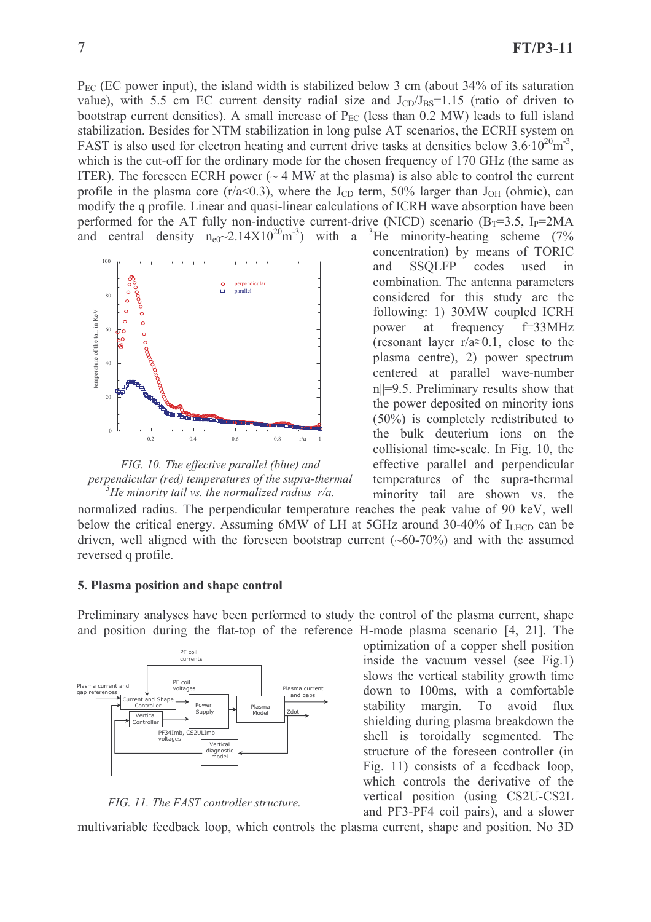$P_{EC}$  (EC power input), the island width is stabilized below 3 cm (about 34% of its saturation value), with 5.5 cm EC current density radial size and  $J_{CD}/J_{BS} = 1.15$  (ratio of driven to bootstrap current densities). A small increase of  $P_{EC}$  (less than 0.2 MW) leads to full island stabilization. Besides for NTM stabilization in long pulse AT scenarios, the ECRH system on FAST is also used for electron heating and current drive tasks at densities below  $3.6 \cdot 10^{20}$  m<sup>-3</sup>. which is the cut-off for the ordinary mode for the chosen frequency of 170 GHz (the same as ITER). The foreseen ECRH power ( $\sim$  4 MW at the plasma) is also able to control the current profile in the plasma core ( $r/a < 0.3$ ), where the J<sub>CD</sub> term, 50% larger than J<sub>OH</sub> (ohmic), can modify the q profile. Linear and quasi-linear calculations of ICRH wave absorption have been performed for the AT fully non-inductive current-drive (NICD) scenario  $(B_T=3.5, I_P=2MA$ and central density  $n_{e0} \sim 2.14 \times 10^{20}$  m<sup>-3</sup>) with a <sup>3</sup>He minority-heating scheme (7%)



FIG. 10. The effective parallel (blue) and perpendicular (red) temperatures of the supra-thermal  $^3$ He minority tail vs. the normalized radius r/a.

**SSOLFP** codes used and in combination. The antenna parameters considered for this study are the following: 1) 30MW coupled ICRH power at frequency  $f=33MHz$ (resonant layer r/a $\approx$ 0.1, close to the plasma centre), 2) power spectrum centered at parallel wave-number  $n||=9.5$ . Preliminary results show that the power deposited on minority ions  $(50\%)$  is completely redistributed to the bulk deuterium ions on the collisional time-scale. In Fig. 10, the effective parallel and perpendicular temperatures of the supra-thermal minority tail are shown vs. the

concentration) by means of TORIC

normalized radius. The perpendicular temperature reaches the peak value of 90 keV, well below the critical energy. Assuming 6MW of LH at 5GHz around 30-40% of  $I_{LHCD}$  can be driven, well aligned with the foreseen bootstrap current  $(\sim 60-70\%)$  and with the assumed reversed q profile.

### 5. Plasma position and shape control

Preliminary analyses have been performed to study the control of the plasma current, shape and position during the flat-top of the reference H-mode plasma scenario [4, 21]. The





optimization of a copper shell position inside the vacuum vessel (see Fig.1) slows the vertical stability growth time down to 100ms, with a comfortable stability margin. To avoid flux shielding during plasma breakdown the shell is toroidally segmented. The structure of the foreseen controller (in Fig. 11) consists of a feedback loop, which controls the derivative of the vertical position (using CS2U-CS2L) and PF3-PF4 coil pairs), and a slower

multivariable feedback loop, which controls the plasma current, shape and position. No 3D